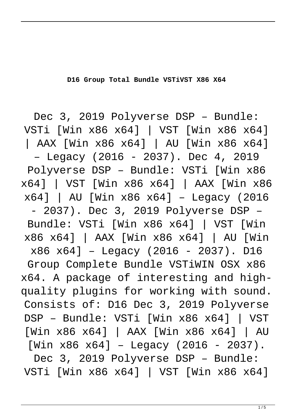**D16 Group Total Bundle VSTiVST X86 X64**

Dec 3, 2019 Polyverse DSP – Bundle: VSTi [Win x86 x64] | VST [Win x86 x64] | AAX [Win x86 x64] | AU [Win x86 x64] – Legacy (2016 - 2037). Dec 4, 2019 Polyverse DSP – Bundle: VSTi [Win x86 x64] | VST [Win x86 x64] | AAX [Win x86 x64] | AU [Win x86 x64] – Legacy (2016 - 2037). Dec 3, 2019 Polyverse DSP – Bundle: VSTi [Win x86 x64] | VST [Win x86 x64] | AAX [Win x86 x64] | AU [Win x86 x64] – Legacy (2016 - 2037). D16 Group Complete Bundle VSTiWIN OSX x86 x64. A package of interesting and highquality plugins for working with sound. Consists of: D16 Dec 3, 2019 Polyverse DSP – Bundle: VSTi [Win x86 x64] | VST [Win x86 x64] | AAX [Win x86 x64] | AU  $[Win x86 x64]$  – Legacy (2016 – 2037).

Dec 3, 2019 Polyverse DSP – Bundle: VSTi [Win x86 x64] | VST [Win x86 x64]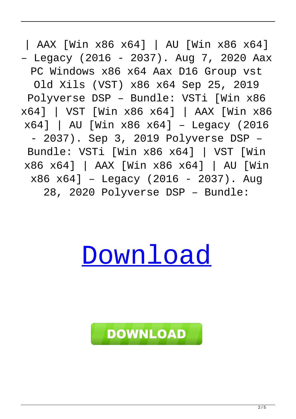| AAX [Win x86 x64] | AU [Win x86 x64] – Legacy (2016 - 2037). Aug 7, 2020 Aax PC Windows x86 x64 Aax D16 Group vst Old Xils (VST) x86 x64 Sep 25, 2019 Polyverse DSP – Bundle: VSTi [Win x86 x64] | VST [Win x86 x64] | AAX [Win x86 x64] | AU [Win x86 x64] – Legacy (2016 - 2037). Sep 3, 2019 Polyverse DSP – Bundle: VSTi [Win x86 x64] | VST [Win x86 x64] | AAX [Win x86 x64] | AU [Win  $x86 x64$ ] – Legacy (2016 – 2037). Aug 28, 2020 Polyverse DSP – Bundle:

## [Download](http://evacdir.com/RDE2IEdyb3VwIFRvdGFsIEJ1bmRsZSBWU1RpVlNUIFg4NiBYNjQRDE/birthday/?dimatteo=ZG93bmxvYWR8dG0zTVRsamRIeDhNVFkxTWpjME1EZzJObng4TWpVM05IeDhLRTBwSUhKbFlXUXRZbXh2WnlCYlJtRnpkQ0JIUlU1ZA&caravans=dylon.carles.interlase)

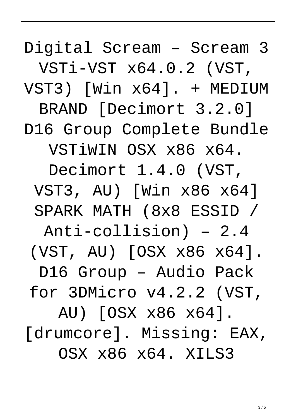Digital Scream – Scream 3

VSTi-VST x64.0.2 (VST,

VST3) [Win x64]. + MEDIUM

BRAND [Decimort 3.2.0] D16 Group Complete Bundle

VSTiWIN OSX x86 x64.

Decimort 1.4.0 (VST, VST3, AU) [Win x86 x64] SPARK MATH (8x8 ESSID /

Anti-collision) – 2.4

(VST, AU) [OSX x86 x64].

D16 Group – Audio Pack

for 3DMicro v4.2.2 (VST,

AU) [OSX x86 x64]. [drumcore]. Missing: EAX, OSX x86 x64. XILS3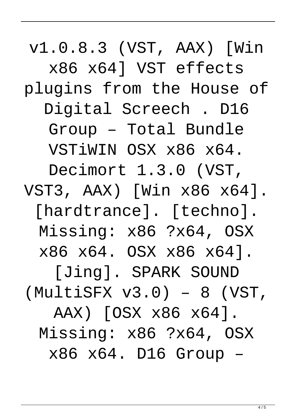v1.0.8.3 (VST, AAX) [Win x86 x64] VST effects plugins from the House of Digital Screech . D16 Group – Total Bundle VSTiWIN OSX x86 x64. Decimort 1.3.0 (VST, VST3, AAX) [Win x86 x64]. [hardtrance]. [techno]. Missing: x86 ?x64, OSX x86 x64. OSX x86 x64]. [Jing]. SPARK SOUND (MultiSFX v3.0) – 8 (VST, AAX) [OSX x86 x64]. Missing: x86 ?x64, OSX x86 x64. D16 Group –